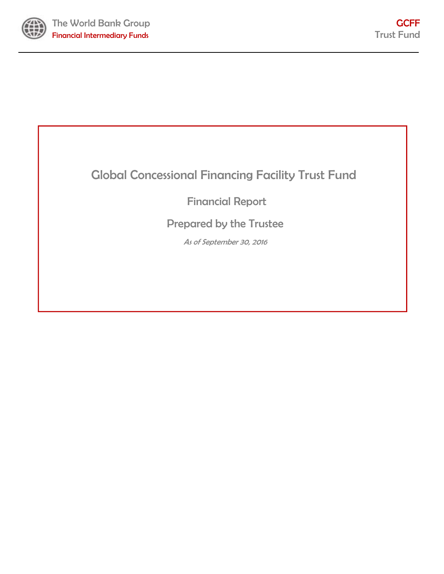

# Global Concessional Financing Facility Trust Fund

# Financial Report

# Prepared by the Trustee

As of September 30, 2016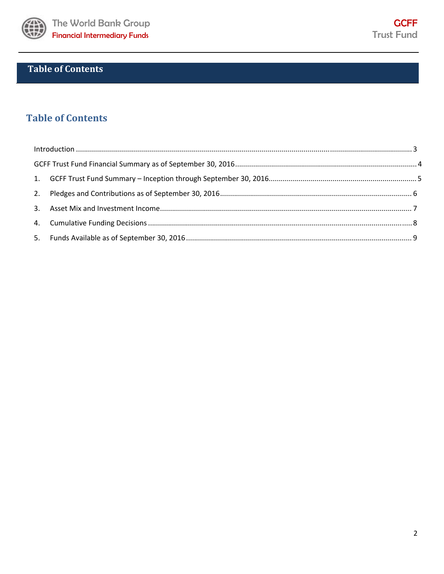

## **Table of Contents**

### **Table of Contents**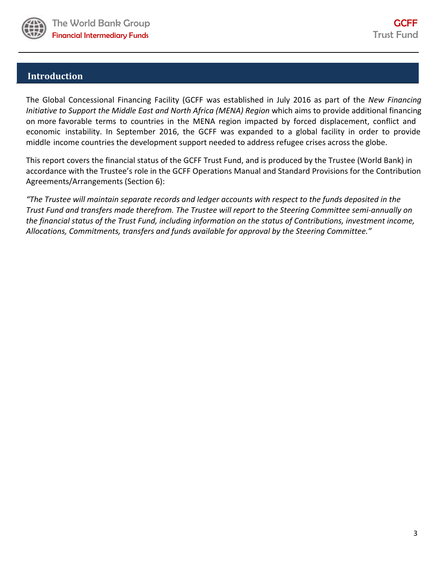

### **Introduction**

The Global Concessional Financing Facility (GCFF was established in July 2016 as part of the *New Financing Initiative to Support the Middle East and North Africa (MENA) Region* which aims to provide additional financing on more favorable terms to countries in the MENA region impacted by forced displacement, conflict and economic instability. In September 2016, the GCFF was expanded to a global facility in order to provide middle income countries the development support needed to address refugee crises across the globe.

This report covers the financial status of the GCFF Trust Fund, and is produced by the Trustee (World Bank) in accordance with the Trustee's role in the GCFF Operations Manual and Standard Provisions for the Contribution Agreements/Arrangements (Section 6):

"The Trustee will maintain separate records and ledger accounts with respect to the funds deposited in the Trust Fund and transfers made therefrom. The Trustee will report to the Steering Committee semi-annually on *the financial status of the Trust Fund, including information on the status of Contributions, investment income, Allocations, Commitments, transfers and funds available for approval by the Steering Committee."*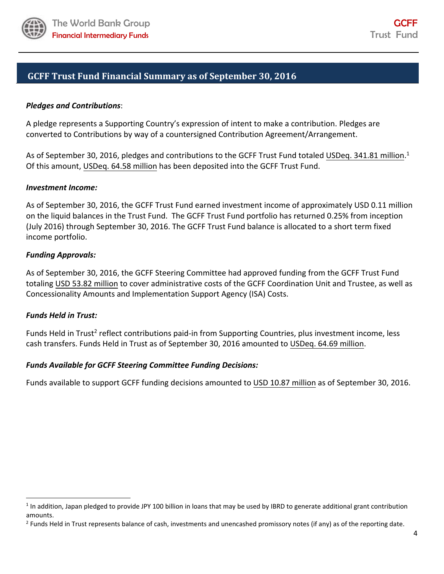

### **GCFF Trust Fund Financial Summary as of September 30, 2016**

### *Pledges and Contributions*:

A pledge represents a Supporting Country's expression of intent to make a contribution. Pledges are converted to Contributions by way of a countersigned Contribution Agreement/Arrangement.

As of September 30, 2016, pledges and contributions to the GCFF Trust Fund totaled USDeq. 341.81 million.<sup>1</sup> Of this amount, USDeq. 64.58 million has been deposited into the GCFF Trust Fund.

#### *Investment Income:*

As of September 30, 2016, the GCFF Trust Fund earned investment income of approximately USD 0.11 million on the liquid balances in the Trust Fund. The GCFF Trust Fund portfolio has returned 0.25% from inception (July 2016) through September 30, 2016. The GCFF Trust Fund balance is allocated to a short term fixed income portfolio.

#### *Funding Approvals:*

As of September 30, 2016, the GCFF Steering Committee had approved funding from the GCFF Trust Fund totaling USD 53.82 million to cover administrative costs of the GCFF Coordination Unit and Trustee, as well as Concessionality Amounts and Implementation Support Agency (ISA) Costs.

#### *Funds Held in Trust:*

Funds Held in Trust<sup>2</sup> reflect contributions paid-in from Supporting Countries, plus investment income, less cash transfers. Funds Held in Trust as of September 30, 2016 amounted to USDeq. 64.69 million.

#### *Funds Available for GCFF Steering Committee Funding Decisions:*

Funds available to support GCFF funding decisions amounted to USD 10.87 million as of September 30, 2016.

 $1$  In addition, Japan pledged to provide JPY 100 billion in loans that may be used by IBRD to generate additional grant contribution amounts.

<sup>&</sup>lt;sup>2</sup> Funds Held in Trust represents balance of cash, investments and unencashed promissory notes (if any) as of the reporting date.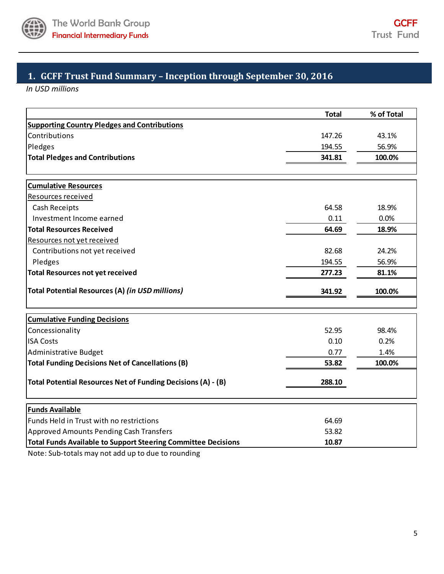

### **1. GCFF Trust Fund Summary – Inception through September 30, 2016**

*In USD millions*

|                                                                      | <b>Total</b> | % of Total |
|----------------------------------------------------------------------|--------------|------------|
| <b>Supporting Country Pledges and Contributions</b>                  |              |            |
| Contributions                                                        | 147.26       | 43.1%      |
| Pledges                                                              | 194.55       | 56.9%      |
| <b>Total Pledges and Contributions</b>                               | 341.81       | 100.0%     |
| <b>Cumulative Resources</b>                                          |              |            |
| Resources received                                                   |              |            |
| Cash Receipts                                                        | 64.58        | 18.9%      |
| Investment Income earned                                             | 0.11         | 0.0%       |
| <b>Total Resources Received</b>                                      | 64.69        | 18.9%      |
| Resources not yet received                                           |              |            |
| Contributions not yet received                                       | 82.68        | 24.2%      |
| Pledges                                                              | 194.55       | 56.9%      |
| <b>Total Resources not yet received</b>                              | 277.23       | 81.1%      |
| Total Potential Resources (A) (in USD millions)                      | 341.92       | 100.0%     |
|                                                                      |              |            |
| <b>Cumulative Funding Decisions</b>                                  |              |            |
| Concessionality                                                      | 52.95        | 98.4%      |
| <b>ISA Costs</b>                                                     | 0.10         | 0.2%       |
| Administrative Budget                                                | 0.77         | 1.4%       |
| <b>Total Funding Decisions Net of Cancellations (B)</b>              | 53.82        | 100.0%     |
| Total Potential Resources Net of Funding Decisions (A) - (B)         | 288.10       |            |
| <b>Funds Available</b>                                               |              |            |
| Funds Held in Trust with no restrictions                             | 64.69        |            |
| <b>Approved Amounts Pending Cash Transfers</b>                       | 53.82        |            |
| <b>Total Funds Available to Support Steering Committee Decisions</b> | 10.87        |            |

Note: Sub‐totals may not add up to due to rounding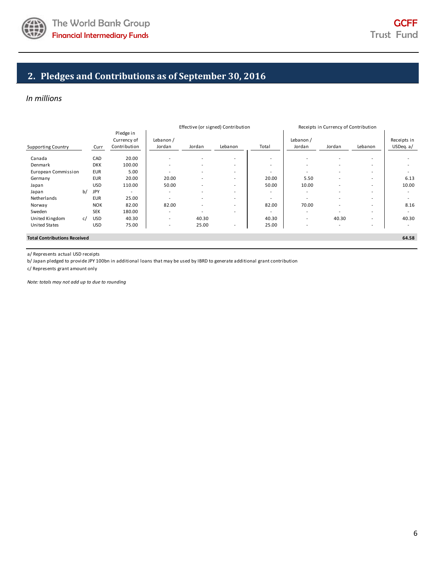

### **2. Pledges and Contributions as of September 30, 2016**

#### *In millions*

|                                     |    |            |                          | Effective (or signed) Contribution |                          | Receipts in Currency of Contribution |                          |                          |                          |                          |             |
|-------------------------------------|----|------------|--------------------------|------------------------------------|--------------------------|--------------------------------------|--------------------------|--------------------------|--------------------------|--------------------------|-------------|
|                                     |    |            | Pledge in                |                                    |                          |                                      |                          |                          |                          |                          |             |
|                                     |    |            | Currency of              | Lebanon /                          |                          |                                      |                          | Lebanon /                |                          |                          | Receipts in |
| <b>Supporting Country</b>           |    | Curr       | Contribution             | Jordan                             | Jordan                   | Lebanon                              | Total                    | Jordan                   | Jordan                   | Lebanon                  | USDeq. a/   |
| Canada                              |    | CAD        | 20.00                    | $\overline{\phantom{a}}$           |                          | $\overline{\phantom{a}}$             | $\overline{a}$           | ۰                        | ۰                        | $\overline{\phantom{a}}$ |             |
| Denmark                             |    | <b>DKK</b> | 100.00                   | $\overline{\phantom{a}}$           |                          | $\overline{\phantom{a}}$             | $\overline{\phantom{a}}$ | $\overline{\phantom{a}}$ | $\overline{\phantom{0}}$ | $\overline{\phantom{a}}$ |             |
| European Commission                 |    | <b>EUR</b> | 5.00                     |                                    |                          | $\overline{\phantom{a}}$             | $\overline{\phantom{a}}$ | $\overline{\phantom{0}}$ |                          | $\overline{\phantom{a}}$ |             |
| Germany                             |    | <b>EUR</b> | 20.00                    | 20.00                              |                          | $\overline{\phantom{a}}$             | 20.00                    | 5.50                     |                          | $\overline{\phantom{a}}$ | 6.13        |
| Japan                               |    | <b>USD</b> | 110.00                   | 50.00                              |                          | $\overline{\phantom{a}}$             | 50.00                    | 10.00                    |                          | $\overline{\phantom{a}}$ | 10.00       |
| Japan                               | b/ | JPY        | $\overline{\phantom{a}}$ | $\overline{\phantom{a}}$           | $\overline{\phantom{0}}$ | $\overline{\phantom{a}}$             | $\overline{\phantom{a}}$ | $\overline{\phantom{a}}$ | ٠                        | $\overline{\phantom{a}}$ |             |
| Netherlands                         |    | <b>EUR</b> | 25.00                    | $\overline{\phantom{0}}$           | $\overline{\phantom{0}}$ | $\overline{\phantom{a}}$             | $\overline{\phantom{a}}$ | ۰                        | ۰                        | $\overline{\phantom{a}}$ |             |
| Norway                              |    | <b>NOK</b> | 82.00                    | 82.00                              |                          | $\overline{\phantom{a}}$             | 82.00                    | 70.00                    | ۰                        | $\overline{\phantom{a}}$ | 8.16        |
| Sweden                              |    | <b>SEK</b> | 180.00                   |                                    |                          | $\overline{\phantom{a}}$             | $\overline{\phantom{a}}$ | ۰                        |                          | $\overline{\phantom{a}}$ |             |
| United Kingdom                      | c/ | <b>USD</b> | 40.30                    | $\overline{\phantom{a}}$           | 40.30                    |                                      | 40.30                    | $\sim$                   | 40.30                    | $\overline{\phantom{a}}$ | 40.30       |
| <b>United States</b>                |    | <b>USD</b> | 75.00                    | $\overline{\phantom{a}}$           | 25.00                    | $\blacksquare$                       | 25.00                    | ۰                        |                          | $\overline{\phantom{a}}$ |             |
| <b>Total Contributions Received</b> |    |            |                          |                                    |                          |                                      |                          |                          |                          |                          | 64.58       |

a/ Represents actual USD receipts

b/ Japan pledged to provide JPY 100bn in additional loans that may be used by IBRD to generate additional grant contribution

c/ Represents grant amount only

*Note: totals may not add up to due to rounding*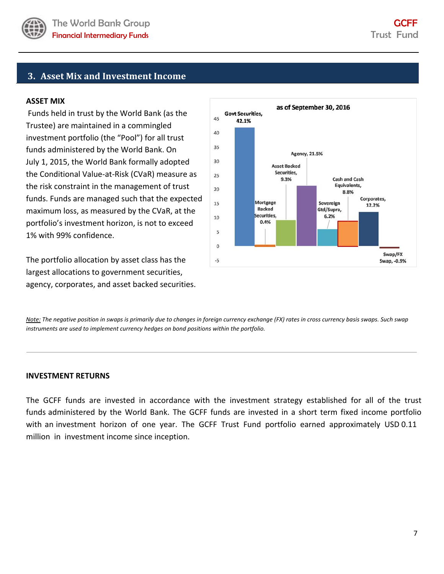

### **3. Asset Mix and Investment Income**

#### **ASSET MIX**

Funds held in trust by the World Bank (as the Trustee) are maintained in a commingled investment portfolio (the "Pool") for all trust funds administered by the World Bank. On July 1, 2015, the World Bank formally adopted the Conditional Value‐at‐Risk (CVaR) measure as the risk constraint in the management of trust funds. Funds are managed such that the expected maximum loss, as measured by the CVaR, at the portfolio's investment horizon, is not to exceed 1% with 99% confidence.

The portfolio allocation by asset class has the largest allocations to government securities, agency, corporates, and asset backed securities.



Note: The negative position in swaps is primarily due to changes in foreign currency exchange (FX) rates in cross currency basis swaps. Such swap *instruments are used to implement currency hedges on bond positions within the portfolio.* 

#### **INVESTMENT RETURNS**

The GCFF funds are invested in accordance with the investment strategy established for all of the trust funds administered by the World Bank. The GCFF funds are invested in a short term fixed income portfolio with an investment horizon of one year. The GCFF Trust Fund portfolio earned approximately USD 0.11 million in investment income since inception.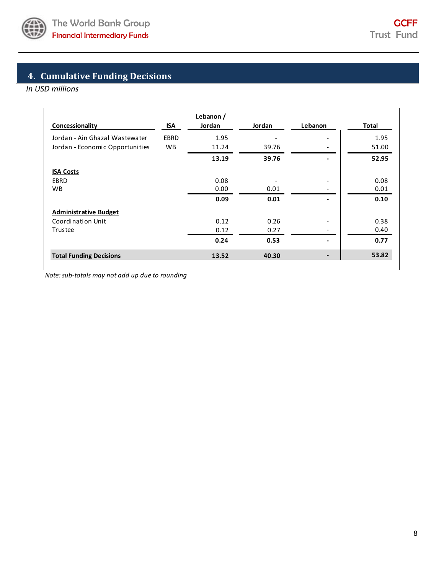

# **4. Cumulative Funding Decisions**

*In USD millions*

| Concessionality                 | ISA         | Lebanon /<br>Jordan | Jordan | Lebanon                  | Total |
|---------------------------------|-------------|---------------------|--------|--------------------------|-------|
| Jordan - Ain Ghazal Wastewater  | <b>EBRD</b> | 1.95                |        |                          | 1.95  |
| Jordan - Economic Opportunities | <b>WB</b>   | 11.24               | 39.76  |                          | 51.00 |
|                                 |             | 13.19               | 39.76  |                          | 52.95 |
| <b>ISA Costs</b>                |             |                     |        |                          |       |
| <b>EBRD</b>                     |             | 0.08                |        | $\overline{\phantom{a}}$ | 0.08  |
| <b>WB</b>                       |             | 0.00                | 0.01   |                          | 0.01  |
|                                 |             | 0.09                | 0.01   |                          | 0.10  |
| <b>Administrative Budget</b>    |             |                     |        |                          |       |
| Coordination Unit               |             | 0.12                | 0.26   |                          | 0.38  |
| Trustee                         |             | 0.12                | 0.27   |                          | 0.40  |
|                                 |             | 0.24                | 0.53   |                          | 0.77  |
| <b>Total Funding Decisions</b>  | 13.52       | 40.30               | -      | 53.82                    |       |

*Note:sub‐totals may not add up due to rounding*